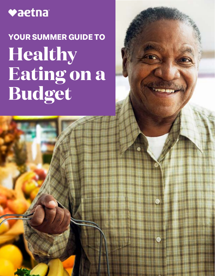## vaetna

# **YOUR SUMMER GUIDE TO Healthy Eating on a Budget**

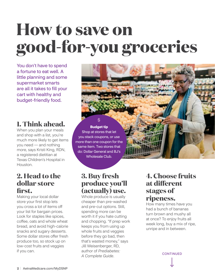# **How to save on good-for-you groceries**

You don't have to spend a fortune to eat well. A little planning and some supermarket smarts are all it takes to fill your cart with healthy and budget-friendly food.

### **1. Think ahead.**

When you plan your meals and shop with a list, you're much more likely to get items you need — and nothing more, says Kristi King, RDN, a registered dietitian at Texas Children's Hospital in Houston.

### **2. Head to the dollar store first.**

Making your local dollar store your first stop lets you cross a lot of items off your list for bargain prices. Look for staples like spices, coffee, oats and whole wheat bread, and avoid high-calorie snacks and sugary desserts. Some dollar stores offer fresh produce too, so stock up on low-cost fruits and veggies if you can.

**Budget tip**  Shop at stores that let you stack coupons, or use more than one coupon for the same item. Two stores that do: Dollar General and BJ's Wholesale Club.

**\$** 

### **3. Buy fresh produce you'll (actually) use.**

Whole produce is usually cheaper than pre-washed and pre-cut options. Still, spending more can be worth it if you hate cutting and chopping. "If prep work keeps you from using up whole fruits and veggies before they go bad, then that's wasted money," says Jill Weisenberger, RD, author of *Prediabetes: A Complete Guide*.

### **4. Choose fruits at different stages of ripeness.**

How many times have you had a bunch of bananas turn brown and mushy all at once? To enjoy fruits all week long, buy a mix of ripe, unripe and in between.

**CONTINUED**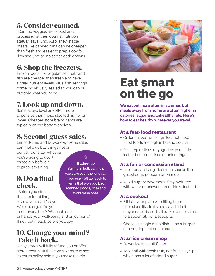## **5. Consider canned.**

"Canned veggies are picked and processed at their optimal nutrition status," says King. Also, shelf-stable meats like canned tuna can be cheaper than fresh and easier to prep. Look for "low sodium" or "no salt added" options.

## **6. Shop the freezers.**

Frozen foods like vegetables, fruits and fish are cheaper than fresh and have similar nutrient levels. Plus, fish servings come individually sealed so you can pull out only what you need.

## **7. Look up and down.**

Items at eye level are often more expensive than those stocked higher or lower. Cheaper store brand items are typically on the bottom shelves.

## **8. Second-guess sales.**

Limited-time and buy-one-get-one sales can make us buy things not on our list. Consider whether you're going to use it, **\$** 

> **Budget tip** Buying in bulk can help you save over the long run if you use it all up. Stick to items that won't go bad (canned goods, rice) and

especially before it expires, says King.

## **9. Do a final check.**

avoid fresh ones. "Before you step in the check-out line, review your cart," says Weisenberger. Do you need every item? Will each one enhance your well-being and enjoyment? If not, put it back before you pay.

## **10. Change your mind? Take it back.**

Many stores will fully refund you or offer store credit. Visit the store's website to see its return policy before you make the trip.



## **Eat smart on the go**

We eat out more often in summer, but meals away from home are often higher in calories, sugar and unhealthy fats. Here's how to eat healthy wherever you travel.

#### **At a fast-food restaurant**

- Order chicken or fish grilled, not fried. Fried foods are high in fat and sodium.
- Pick apple slices or yogurt as your side instead of french fries or onion rings.

#### **At a fair or concession stand**

- Look for satisfying, fiber-rich snacks like grilled corn, popcorn or peanuts.
- Avoid sugary beverages. Stay hydrated with water or unsweetened drinks instead.

#### **At a cookout**

- Fill half your plate with filling highfiber sides like fruits and salad. Limit mayonnaise-based sides like potato salad to a spoonful, not a scoopful.
- Choose a single main dish so a burger or a hot dog, not one of each.

#### **At an ice cream shop**

- Downsize to a child's size.
- Top it off with fresh fruit, not fruit in syrup, which has a lot of added sugar.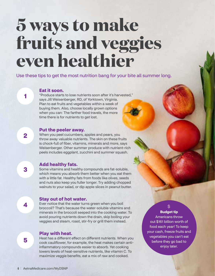## **5 ways to make fruits and veggies even healthier**

Use these tips to get the most nutrition bang for your bite all summer long.

#### **Eat it soon.**

"Produce starts to lose nutrients soon after it's harvested," says Jill Weisenberger, RD, of Yorktown, Virginia. Plan to eat fruits and vegetables within a week of buying them. Also, choose locally grown options when you can: The farther food travels, the more time there is for nutrients to get lost.

#### **Put the peeler away.**

When you peel cucumbers, apples and pears, you throw away valuable nutrients. The skin on these fruits is chock-full of fiber, vitamins, minerals and more, says Weisenberger. Other summer produce with nutrient-rich peels includes eggplant, zucchini and summer squash.

#### **Add healthy fats.**

Some vitamins and healthy compounds are fat-soluble, which means you absorb them better when you eat them with a little fat. Healthy fats from foods like olives, seeds and nuts also keep you fuller longer. Try adding chopped walnuts to your salad, or dip apple slices in peanut butter.

#### **Stay out of hot water.**

Ever notice that the water turns green when you boil broccoli? That's because the water-soluble vitamins and minerals in the broccoli seeped into the cooking water. To avoid pouring nutrients down the drain, skip boiling your veggies and steam, roast, stir-fry or grill them instead.

#### **Play with heat.**

Heat has a different effect on different nutrients. When you cook cauliflower, for example, the heat makes certain antiinflammatory compounds easier to absorb. Yet cooking lowers levels of heat-sensitive nutrients, like vitamin C. To maximize veggie benefits, eat a mix of raw and cooked.

#### **\$**

 **Budget tip** Americans throw out \$161 billion worth of food each year! To keep your cash, freeze fruits and vegetables you can't eat before they go bad to enjoy later.

**3** 

**4** 

**5** 

**1**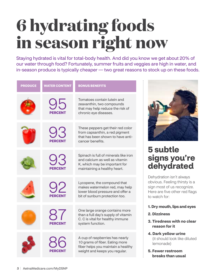# **6 hydrating foods in season right now**

Staying hydrated is vital for total-body health. And did you know we get about 20% of our water through food? Fortunately, summer fruits and veggies are high in water, and in-season produce is typically cheaper — two great reasons to stock up on these foods.

| <b>PRODUCE</b> | <b>WATER CONTENT</b> | <b>BONUS BENEFITS</b>                                                                                                                    |
|----------------|----------------------|------------------------------------------------------------------------------------------------------------------------------------------|
|                | <b>PERCENT</b>       | Tomatoes contain lutein and<br>zeaxanthin, two compounds<br>that may help reduce the risk of<br>chronic eye diseases.                    |
|                | 93<br><b>PERCENT</b> | These peppers get their red color<br>from capsanthin, a red pigment<br>that has been shown to have anti-<br>cancer benefits.             |
|                | 93<br><b>PERCENT</b> | Spinach is full of minerals like iron<br>and calcium as well as vitamin<br>K, which may be important for<br>maintaining a healthy heart. |
|                | 92<br><b>PERCENT</b> | Lycopene, the compound that<br>makes watermelon red, may help<br>lower blood pressure and offer a<br>bit of sunburn protection too.      |
|                | 8/<br><b>PERCENT</b> | One large orange contains more<br>than a full day's supply of vitamin<br>C. C is vital for healthy immune<br>system function.            |
|                | PERCENT              | A cup of raspberries has nearly<br>10 grams of fiber. Eating more<br>fiber helps you maintain a healthy<br>weight and keeps you regular. |



## **5 subtle signs you're dehydrated**

Dehydration isn't always obvious. Feeling thirsty is a sign most of us recognize. Here are five other red flags to watch for:

- **1. Dry mouth, lips and eyes**
- **2. Dizziness**
- **3. Tiredness with no clear reason for it**
- **4. Dark yellow urine**  (it should look like diluted lemonade)
- **5. Fewer restroom breaks than usual**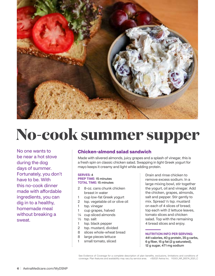

## **No-cook summer supper**

No one wants to be near a hot stove during the dog days of summer. Fortunately, you don't have to be. With this no-cook dinner made with affordable ingredients, you can dig in to a healthy, homemade meal without breaking a sweat.

#### **Chicken-almond salad sandwich**

Made with slivered almonds, juicy grapes and a splash of vinegar, this is a fresh spin on classic chicken salad. Swapping in light Greek yogurt for mayo keeps it creamy and light while adding protein.

#### SERVES: 4 PREP TIME: 15 minutes TOTAL TIME: 15 minutes

- 2 8-oz. cans chunk chicken breast in water
- 1 cup low-fat Greek yogurt
- 2 tsp. vegetable oil or olive oil
- 1 tsp. vinegar
- 1 cup grapes, halved
- ¼ cup sliced almonds
- ½ tsp. salt
- 1 tsp. black pepper
- 2 tsp. mustard, divided
- 8 slices whole-wheat bread
- 8 large pieces lettuce
- 1 small tomato, sliced

Drain and rinse chicken to remove excess sodium. In a large mixing bowl, stir together the yogurt, oil and vinegar. Add the chicken, grapes, almonds, salt and pepper. Stir gently to mix. Spread ½ tsp. mustard on each of 4 slices of bread; top each with 2 lettuce leaves, tomato slices and chicken salad. Top with the remaining 4 bread slices and enjoy.

#### NUTRITION INFO PER SERVING:

441 calories, 40 g protein, 35 g carbs, 6 g fiber, 15 g fat (2 g saturated), 12 g sugar, 471 mg sodium

See Evidence of Coverage for a complete description of plan benefits, exclusions, limitations and conditions of coverage. Plan features and availability may vary by service area. <©2021 Aetna Inc. Y0001\_NR\_26574\_2021\_C